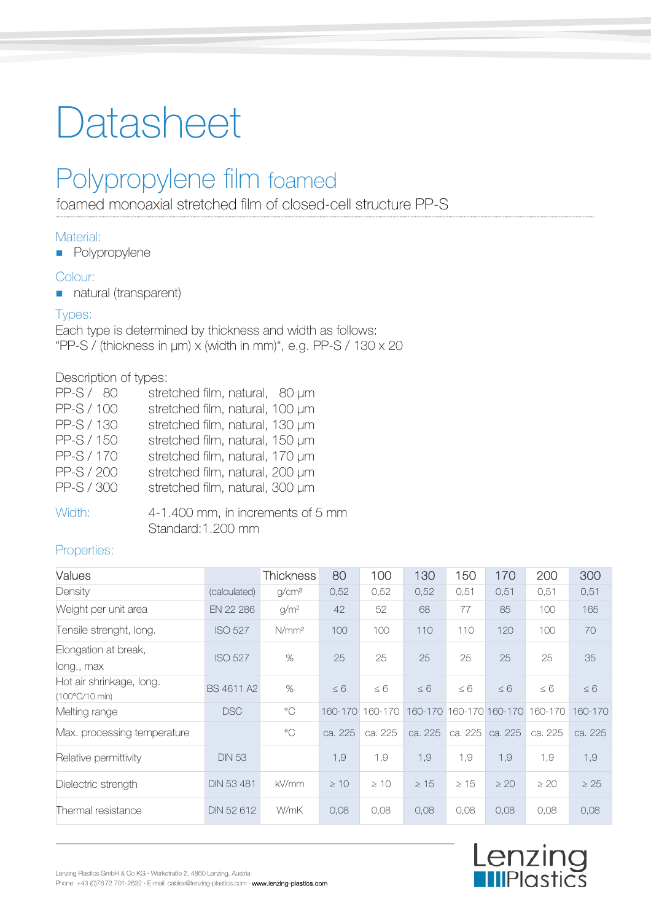# Datasheet

# Polypropylene film foamed

foamed monoaxial stretched film of closed-cell structure PP-S

### Material:

**Polypropylene** 

#### Colour:

natural (transparent)

#### Types:

Each type is determined by thickness and width as follows: "PP-S / (thickness in μm) x (width in mm)", e.g. PP-S / 130 x 20

#### Description of types:

| PP-S/ 80   | stretched film, natural, 80 µm  |
|------------|---------------------------------|
| PP-S / 100 | stretched film, natural, 100 µm |
| PP-S / 130 | stretched film, natural, 130 µm |
| PP-S / 150 | stretched film, natural, 150 µm |
| PP-S / 170 | stretched film, natural, 170 µm |
| PP-S / 200 | stretched film, natural, 200 µm |
| PP-S / 300 | stretched film, natural, 300 µm |
|            |                                 |

#### Width: 4-1.400 mm, in increments of 5 mm Standard:1.200 mm

### Properties:

| Values                                     |                   | <b>Thickness</b>  | 80        | 100       | 130       | 150       | 170                     | 200       | 300       |
|--------------------------------------------|-------------------|-------------------|-----------|-----------|-----------|-----------|-------------------------|-----------|-----------|
| Density                                    | (calculated)      | g/cm <sup>3</sup> | 0,52      | 0,52      | 0,52      | 0,51      | 0,51                    | 0,51      | 0,51      |
| Weight per unit area                       | EN 22 286         | g/m <sup>2</sup>  | 42        | 52        | 68        | 77        | 85                      | 100       | 165       |
| Tensile strenght, long.                    | <b>ISO 527</b>    | N/mm <sup>2</sup> | 100       | 100       | 110       | 110       | 120                     | 100       | 70        |
| Elongation at break,<br>long., max         | <b>ISO 527</b>    | %                 | 25        | 25        | 25        | 25        | 25                      | 25        | 35        |
| Hot air shrinkage, long.<br>(100°C/10 min) | BS 4611 A2        | %                 | $\leq 6$  | $\leq 6$  | $\leq 6$  | $\leq 6$  | $\leq 6$                | $\leq 6$  | $\leq 6$  |
| Melting range                              | <b>DSC</b>        | $^{\circ}$ C      | 160-170   | 160-170   |           |           | 160-170 160-170 160-170 | 160-170   | 160-170   |
| Max. processing temperature                |                   | $^{\circ}$ C      | ca. 225   | ca. 225   | ca. 225   | ca. 225   | ca. 225                 | ca. 225   | ca. 225   |
| Relative permittivity                      | <b>DIN 53</b>     |                   | 1,9       | 1,9       | 1,9       | 1,9       | 1,9                     | 1,9       | 1,9       |
| Dielectric strength                        | <b>DIN 53 481</b> | kV/mm             | $\geq 10$ | $\geq 10$ | $\geq 15$ | $\geq 15$ | $\geq 20$               | $\geq 20$ | $\geq 25$ |
| Thermal resistance                         | DIN 52 612        | W/mK              | 0,08      | 0,08      | 0,08      | 0,08      | 0,08                    | 0,08      | 0,08      |